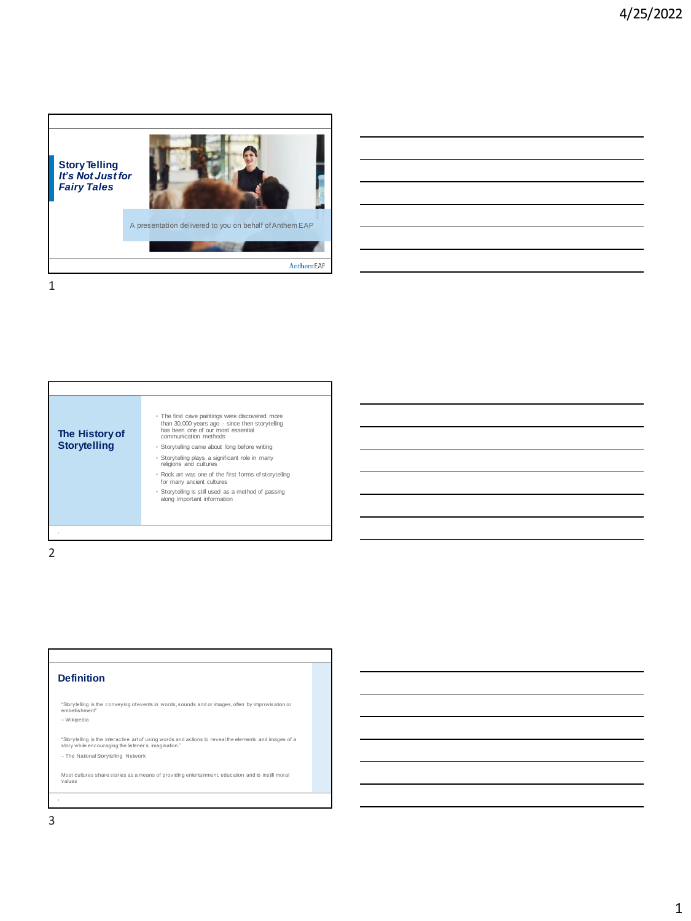

| The History of<br><b>Storytelling</b> | • The first cave paintings were discovered more<br>than 30,000 years ago - since then storytelling<br>has been one of our most essential<br>communication methods<br>• Storytelling came about long before writing<br>· Storytelling plays a significant role in many<br>religions and cultures<br>. Rock art was one of the first forms of storytelling<br>for many ancient cultures<br>• Storytelling is still used as a method of passing<br>along important information |
|---------------------------------------|-----------------------------------------------------------------------------------------------------------------------------------------------------------------------------------------------------------------------------------------------------------------------------------------------------------------------------------------------------------------------------------------------------------------------------------------------------------------------------|
|---------------------------------------|-----------------------------------------------------------------------------------------------------------------------------------------------------------------------------------------------------------------------------------------------------------------------------------------------------------------------------------------------------------------------------------------------------------------------------------------------------------------------------|

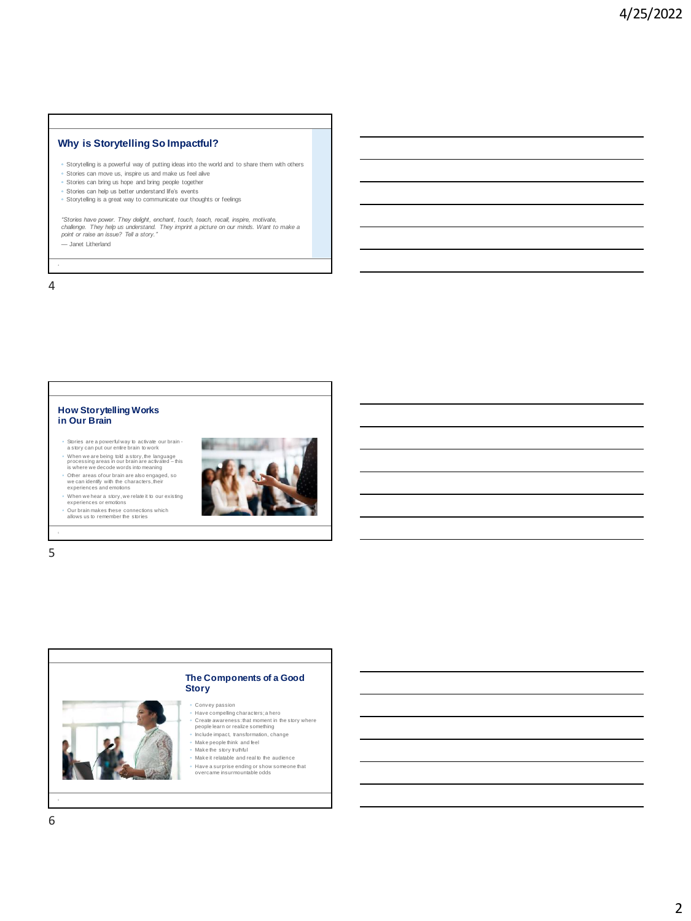## **Why is Storytelling So Impactful?**

- Storytelling is a powerful way of putting ideas into the world and to share them with others
- Stories can move us, inspire us and make us feel alive
- Stories can bring us hope and bring people together
- Stories can help us better understand life's events ◦ Storytelling is a great way to communicate our thoughts or feelings

"Stories have power. They delight, enchant, touch, teach, recall, inspire, motivate,<br>challenge. They help us understand. They imprint a picture on our minds. Want to make a<br>point or raise an issue? Tell a story."

— Janet Litherland



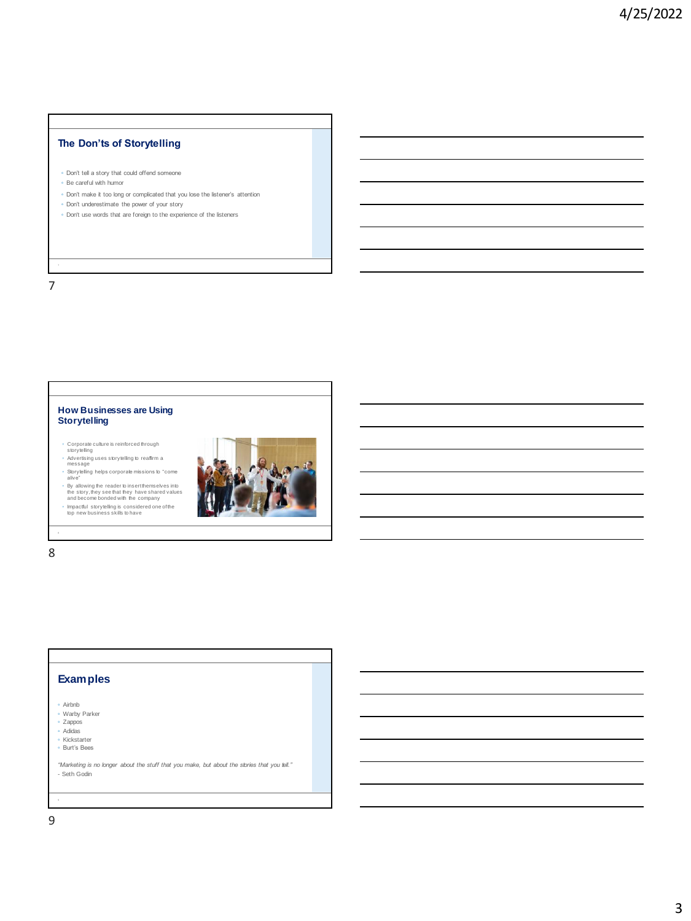## **The Don'ts of Storytelling**

- Don't tell a story that could offend someone
- Be careful with humor
- Don't make it too long or complicated that you lose the listener's attention
- Don't underestimate the power of your story
- Don't use words that are foreign to the experience of the listeners

7

## **How Businesses are Using Storytelling**

- 
- ∘ Corporate culture is reinforced through<br>ຣtorytelling<br>∘ Advertising uses storytelling to reaffirm a<br>message
- Storytelling helps corporate missions to "come alive"<br>By allowing the reader to insert themselves into<br>the story, they see that they have shared values<br>and become bonded with the company<br>brapactul storylelling is considered one of the<br>top new business skills to have
- 



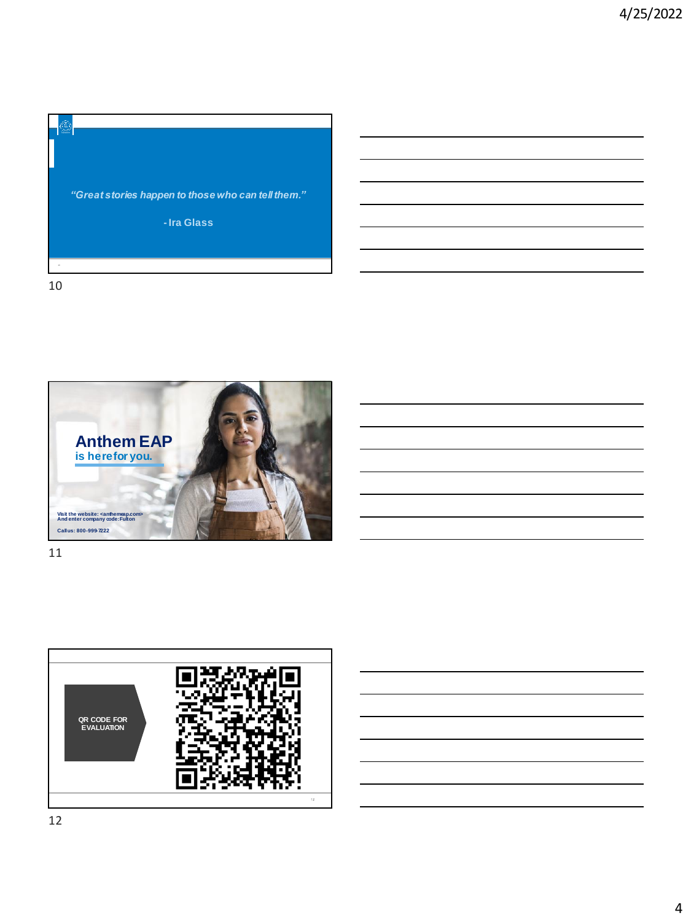